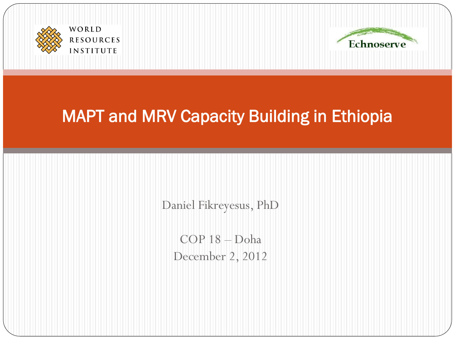



#### MAPT and MRV Capacity Building in Ethiopia

Daniel Fikreyesus, PhD

COP 18 – Doha December 2, 2012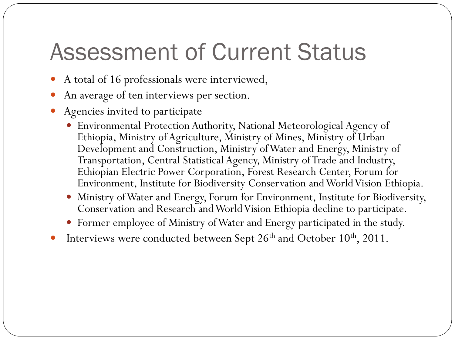## Assessment of Current Status

- A total of 16 professionals were interviewed,
- An average of ten interviews per section.
- Agencies invited to participate
	- Environmental Protection Authority, National Meteorological Agency of Ethiopia, Ministry of Agriculture, Ministry of Mines, Ministry of Urban Development and Construction, Ministry of Water and Energy, Ministry of Transportation, Central Statistical Agency, Ministry of Trade and Industry, Ethiopian Electric Power Corporation, Forest Research Center, Forum for Environment, Institute for Biodiversity Conservation and World Vision Ethiopia.
	- Ministry of Water and Energy, Forum for Environment, Institute for Biodiversity, Conservation and Research and World Vision Ethiopia decline to participate.
	- Former employee of Ministry of Water and Energy participated in the study.
- Interviews were conducted between Sept 26<sup>th</sup> and October 10<sup>th</sup>, 2011.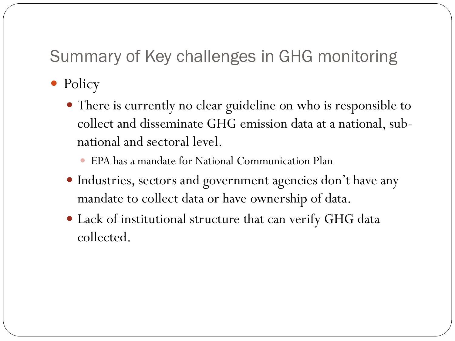#### Summary of Key challenges in GHG monitoring

- Policy
	- There is currently no clear guideline on who is responsible to collect and disseminate GHG emission data at a national, subnational and sectoral level.
		- EPA has a mandate for National Communication Plan
	- Industries, sectors and government agencies don't have any mandate to collect data or have ownership of data.
	- Lack of institutional structure that can verify GHG data collected.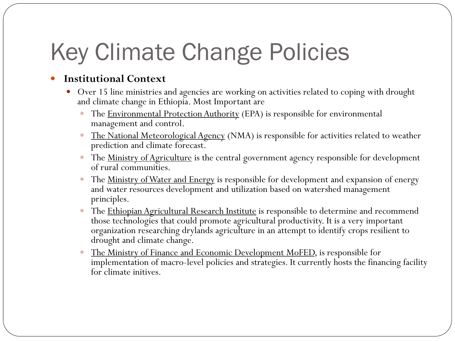# Key Climate Change Policies

#### **Institutional Context**

- Over 15 line ministries and agencies are working on activities related to coping with drought and climate change in Ethiopia. Most Important are
	- The Environmental Protection Authority (EPA) is responsible for environmental management and control.
	- The National Meteorological Agency (NMA) is responsible for activities related to weather prediction and climate forecast.
	- The <u>Ministry of Agriculture</u> is the central government agency responsible for development of rural communities.
	- The Ministry of Water and Energy is responsible for development and expansion of energy and water resources development and utilization based on watershed management principles.
	- The Ethiopian Agricultural Research Institute is responsible to determine and recommend those technologies that could promote agricultural productivity. It is a very important organization researching drylands agriculture in an attempt to identify crops resilient to drought and climate change.
	- The Ministry of Finance and Economic Development MoFED, is responsible for implementation of macro-level policies and strategies. It currently hosts the financing facility for climate initives.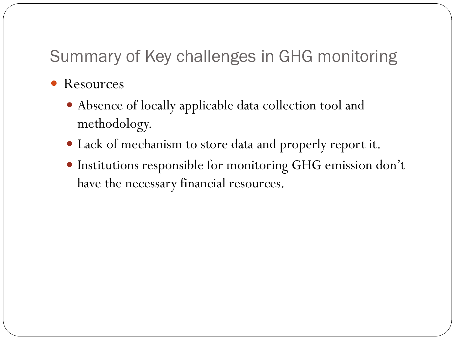#### Summary of Key challenges in GHG monitoring

- Resources
	- Absence of locally applicable data collection tool and methodology.
	- Lack of mechanism to store data and properly report it.
	- Institutions responsible for monitoring GHG emission don't have the necessary financial resources.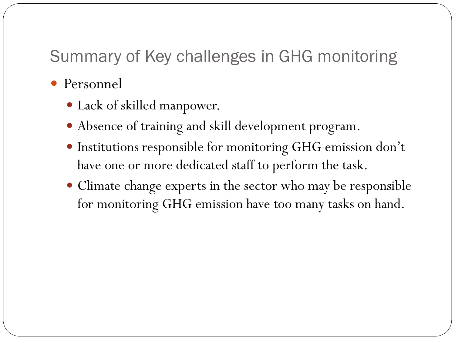#### Summary of Key challenges in GHG monitoring

- Personnel
	- Lack of skilled manpower.
	- Absence of training and skill development program.
	- Institutions responsible for monitoring GHG emission don't have one or more dedicated staff to perform the task.
	- Climate change experts in the sector who may be responsible for monitoring GHG emission have too many tasks on hand.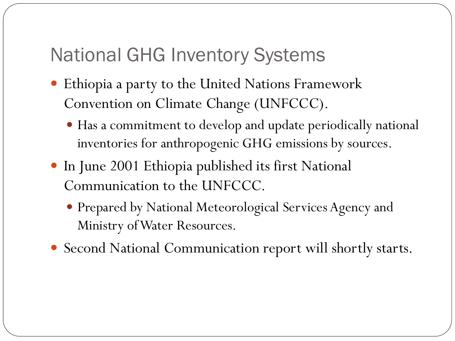### National GHG Inventory Systems

Ξ

- Ethiopia a party to the United Nations Framework Convention on Climate Change (UNFCCC).
	- Has a commitment to develop and update periodically national inventories for anthropogenic GHG emissions by sources.
- In June 2001 Ethiopia published its first National Communication to the UNFCCC.
	- Prepared by National Meteorological Services Agency and Ministry of Water Resources.
- Second National Communication report will shortly starts.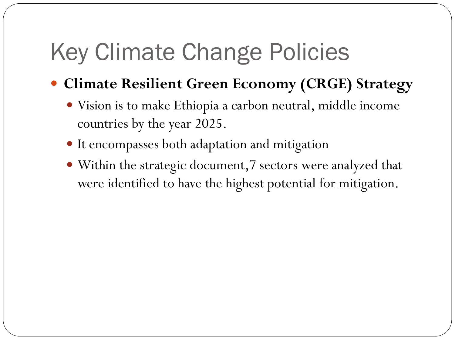## Key Climate Change Policies

- **Climate Resilient Green Economy (CRGE) Strategy**
	- Vision is to make Ethiopia a carbon neutral, middle income countries by the year 2025.
	- It encompasses both adaptation and mitigation
	- Within the strategic document,7 sectors were analyzed that were identified to have the highest potential for mitigation.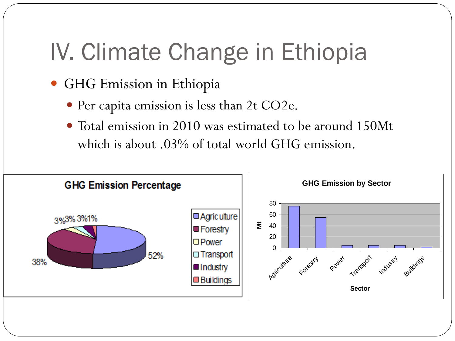## IV. Climate Change in Ethiopia

- GHG Emission in Ethiopia
	- Per capita emission is less than 2t CO2e.
	- Total emission in 2010 was estimated to be around 150Mt which is about .03% of total world GHG emission.

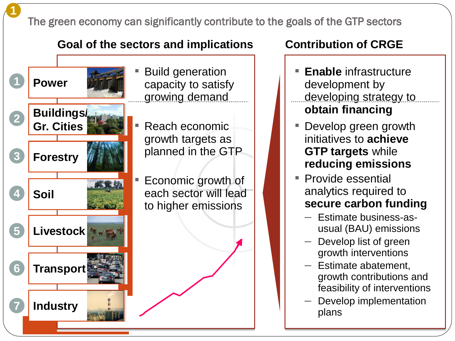The green economy can significantly contribute to the goals of the GTP sectors

#### **Goal of the sectors and implications Contribution of CRGE**

1<br>10<br>10 10 11

**Transport**

**Livestock**

**Power**

**1**

**1**

**2**

**3**

**4**

**5**

**6**

**7**

**Forestry**

**Buildings/**

**Gr. Cities**

**Soil**

**Industry**

**Build generation** capacity to satisfy growing demand

Reach economic growth targets as planned in the GTP

Economic growth of each sector will lead to higher emissions

- **Enable** infrastructure development by developing strategy to **obtain financing**
- Develop green growth initiatives to **achieve GTP targets** while **reducing emissions**
- Provide essential analytics required to **secure carbon funding**
	- Estimate business-asusual (BAU) emissions
	- Develop list of green growth interventions
	- Estimate abatement, growth contributions and feasibility of interventions
	- Develop implementation plans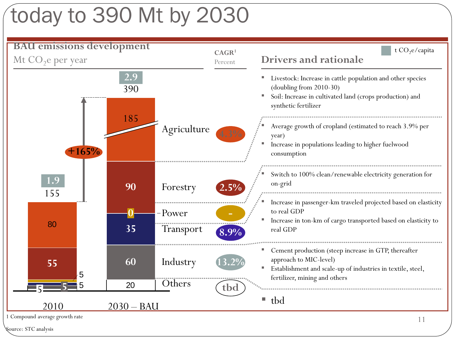## today to 390 Mt by 2030

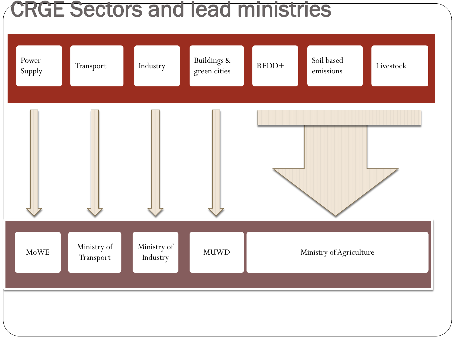## CRGE Sectors and lead ministries

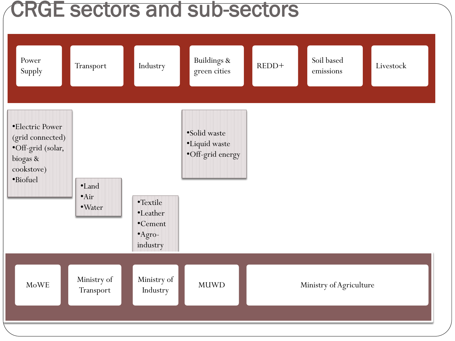## CRGE sectors and sub-sectors

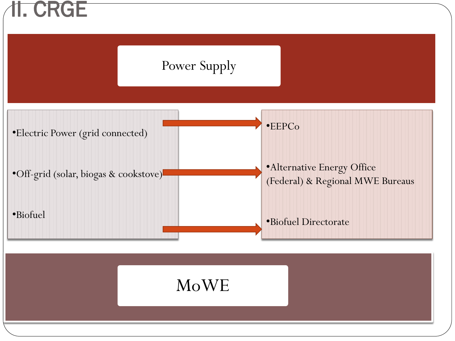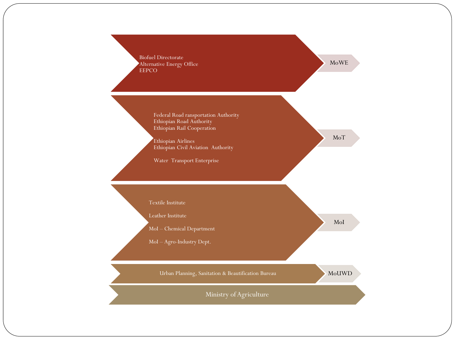

MoWE

MoT

Federal Road ransportation Authority Ethiopian Road Authority Ethiopian Rail Cooperation

Biofuel Directorate

Ethiopian Airlines Ethiopian Civil Aviation Authority

Water Transport Enterprise

Textile Institute

Leather Institute

MoI – Chemical Department

MoI – Agro-Industry Dept.

Urban Planning, Sanitation & Beautification Bureau MoUWD

MoI

Ministry of Agriculture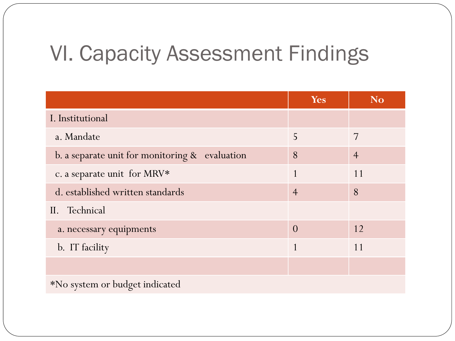## VI. Capacity Assessment Findings

|                                                | Yes            | <b>No</b>      |
|------------------------------------------------|----------------|----------------|
| I. Institutional                               |                |                |
| a. Mandate                                     | 5              | 7              |
| b. a separate unit for monitoring & evaluation | 8              | $\overline{4}$ |
| c. a separate unit for MRV*                    | 1              | 11             |
| d. established written standards               | $\overline{4}$ | 8              |
| II. Technical                                  |                |                |
| a. necessary equipments                        | $\Omega$       | 12             |
| b. IT facility                                 |                | 11             |
|                                                |                |                |
| *No system or budget indicated                 |                |                |